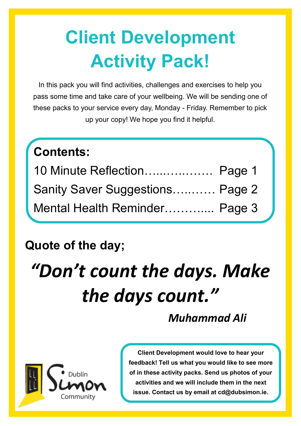# **Client Development Activity Pack!**

In this pack you will find activities, challenges and exercises to help you pass some time and take care of your wellbeing. We will be sending one of these packs to your service every day, Monday - Friday. Remember to pick up your copy! We hope you find it helpful.

## **Contents:**

| 10 Minute Reflection Page 1     |  |
|---------------------------------|--|
| Sanity Saver Suggestions Page 2 |  |
| Mental Health Reminder Page 3   |  |

### **Quote of the day;**

# *"Don't count the days. Make the days count."*

### *Muhammad Ali*



**Client Development would love to hear your feedback! Tell us what you would like to see more of in these activity packs. Send us photos of your activities and we will include them in the next issue. Contact us by email at cd@dubsimon.ie.**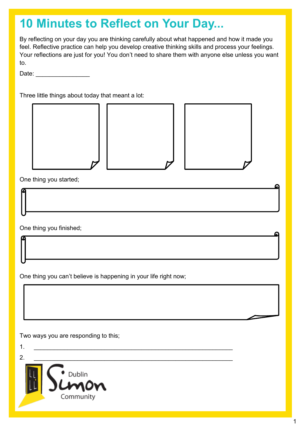## **10 Minutes to Reflect on Your Day...**

By reflecting on your day you are thinking carefully about what happened and how it made you feel. Reflective practice can help you develop creative thinking skills and process your feelings. Your reflections are just for you! You don't need to share them with anyone else unless you want to.

Date: \_\_\_\_\_\_\_\_\_\_\_\_\_\_\_\_

Three little things about today that meant a lot:



1

Ω

One thing you started;

One thing you finished;

One thing you can't believe is happening in your life right now;

Two ways you are responding to this;

1. \_\_\_\_\_\_\_\_\_\_\_\_\_\_\_\_\_\_\_\_\_\_\_\_\_\_\_\_\_\_\_\_\_\_\_\_\_\_\_\_\_\_\_\_\_\_\_\_\_\_\_\_\_\_\_\_\_\_\_  $2.$ Dublin Community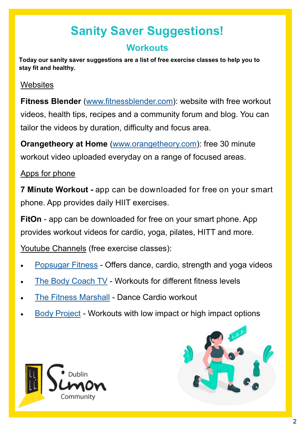# **Sanity Saver Suggestions!**

### **Workouts**

**Today our sanity saver suggestions are a list of free exercise classes to help you to stay fit and healthy.** 

### **Websites**

**Fitness Blender** ([www.fitnessblender.com\)](https://www.fitnessblender.com/): website with free workout videos, health tips, recipes and a community forum and blog. You can tailor the videos by duration, difficulty and focus area.

**Orangetheory at Home** ([www.orangetheory.com\):](https://www.orangetheory.com/en-us/athome/) free 30 minute workout video uploaded everyday on a range of focused areas.

### Apps for phone

**7 Minute Workout -** app can be downloaded for free on your smart phone. App provides daily HIIT exercises.

**FitOn** - app can be downloaded for free on your smart phone. App provides workout videos for cardio, yoga, pilates, HITT and more.

Youtube Channels (free exercise classes):

- [Popsugar Fitness](https://www.youtube.com/channel/UCBINFWq52ShSgUFEoynfSwg) Offers dance, cardio, strength and yoga videos
- [The Body Coach TV](https://www.youtube.com/channel/UCAxW1XT0iEJo0TYlRfn6rYQ) Workouts for different fitness levels
- [The Fitness Marshall](https://www.youtube.com/user/TheFitnessMarshall) Dance Cardio workout
- [Body Project](https://www.youtube.com/channel/UCFjc9H89-RpWuIStDqhO7AQ) Workouts with low impact or high impact options